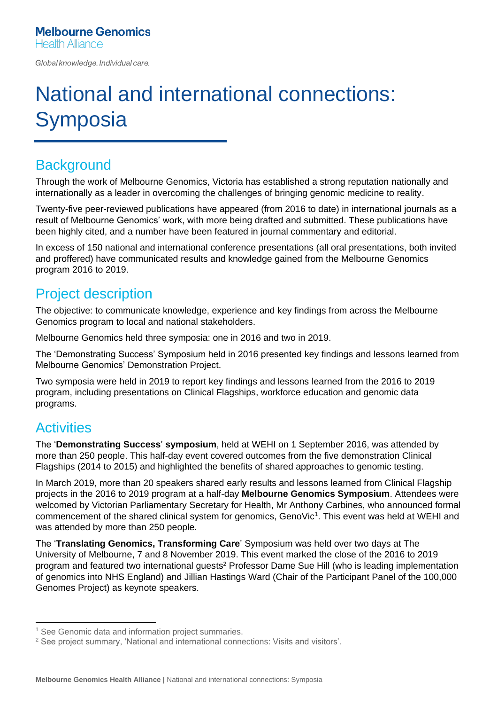Global knowledge. Individual care.

# National and international connections: **Symposia**

# **Background**

Through the work of Melbourne Genomics, Victoria has established a strong reputation nationally and internationally as a leader in overcoming the challenges of bringing genomic medicine to reality.

Twenty-five peer-reviewed publications have appeared (from 2016 to date) in international journals as a result of Melbourne Genomics' work, with more being drafted and submitted. These publications have been highly cited, and a number have been featured in journal commentary and editorial.

In excess of 150 national and international conference presentations (all oral presentations, both invited and proffered) have communicated results and knowledge gained from the Melbourne Genomics program 2016 to 2019.

# Project description

The objective: to communicate knowledge, experience and key findings from across the Melbourne Genomics program to local and national stakeholders.

Melbourne Genomics held three symposia: one in 2016 and two in 2019.

The 'Demonstrating Success' Symposium held in 2016 presented key findings and lessons learned from Melbourne Genomics' Demonstration Project.

Two symposia were held in 2019 to report key findings and lessons learned from the 2016 to 2019 program, including presentations on Clinical Flagships, workforce education and genomic data programs.

# **Activities**

The '**Demonstrating Success**' **symposium**, held at WEHI on 1 September 2016, was attended by more than 250 people. This half-day event covered outcomes from the five demonstration Clinical Flagships (2014 to 2015) and highlighted the benefits of shared approaches to genomic testing.

In March 2019, more than 20 speakers shared early results and lessons learned from Clinical Flagship projects in the 2016 to 2019 program at a half-day **Melbourne Genomics Symposium**. Attendees were welcomed by Victorian Parliamentary Secretary for Health, Mr Anthony Carbines, who announced formal commencement of the shared clinical system for genomics, GenoVic<sup>1</sup>. This event was held at WEHI and was attended by more than 250 people.

The '**Translating Genomics, Transforming Care**' Symposium was held over two days at The University of Melbourne, 7 and 8 November 2019. This event marked the close of the 2016 to 2019 program and featured two international guests<sup>2</sup> Professor Dame Sue Hill (who is leading implementation of genomics into NHS England) and Jillian Hastings Ward (Chair of the Participant Panel of the 100,000 Genomes Project) as keynote speakers.

<sup>&</sup>lt;sup>1</sup> See Genomic data and information project summaries.

<sup>2</sup> See project summary, 'National and international connections: Visits and visitors'.